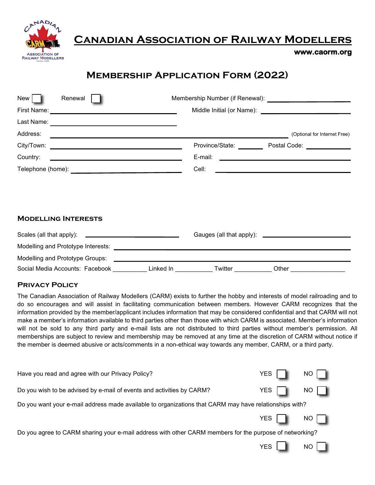

# **Canadian Association of Railway Modellers**

### **www.caorm.org**

# **Membership Application Form (2022)**

| New <br>Renewal                                                                              |           |         |                                                                     |
|----------------------------------------------------------------------------------------------|-----------|---------|---------------------------------------------------------------------|
|                                                                                              |           |         |                                                                     |
|                                                                                              |           |         |                                                                     |
| Address:<br>,我们也不会有什么。""我们的人,我们也不会有什么?""我们的人,我们也不会有什么?""我们的人,我们也不会有什么?""我们的人,我们也不会有什么?""我们的人 |           |         | (Optional for Internet Free)                                        |
|                                                                                              |           |         | Province/State: Postal Code: 2000                                   |
| Country:                                                                                     |           |         |                                                                     |
|                                                                                              |           | Cell:   | <u> 1989 - Johann Stein, mars an deus Amerikaansk kommunister (</u> |
|                                                                                              |           |         |                                                                     |
| <b>MODELLING INTERESTS</b>                                                                   |           |         |                                                                     |
| Scales (all that apply): <u>_______________________</u> ______                               |           |         |                                                                     |
|                                                                                              |           |         |                                                                     |
|                                                                                              |           |         |                                                                     |
| Social Media Accounts: Facebook                                                              | Linked In | Twitter | Other                                                               |

## **Privacy Policy**

The Canadian Association of Railway Modellers (CARM) exists to further the hobby and interests of model railroading and to do so encourages and will assist in facilitating communication between members. However CARM recognizes that the information provided by the member/applicant includes information that may be considered confidential and that CARM will not make a member's information available to third parties other than those with which CARM is associated. Member's information will not be sold to any third party and e-mail lists are not distributed to third parties without member's permission. All memberships are subject to review and membership may be removed at any time at the discretion of CARM without notice if the member is deemed abusive or acts/comments in a non-ethical way towards any member, CARM, or a third party.

| Have you read and agree with our Privacy Policy?                                                        | YES        | NO   |  |
|---------------------------------------------------------------------------------------------------------|------------|------|--|
| Do you wish to be advised by e-mail of events and activities by CARM?                                   | YES        | NO.  |  |
| Do you want your e-mail address made available to organizations that CARM may have relationships with?  |            |      |  |
|                                                                                                         | YES        | $NO$ |  |
| Do you agree to CARM sharing your e-mail address with other CARM members for the purpose of networking? |            |      |  |
|                                                                                                         | <b>YES</b> | NO I |  |